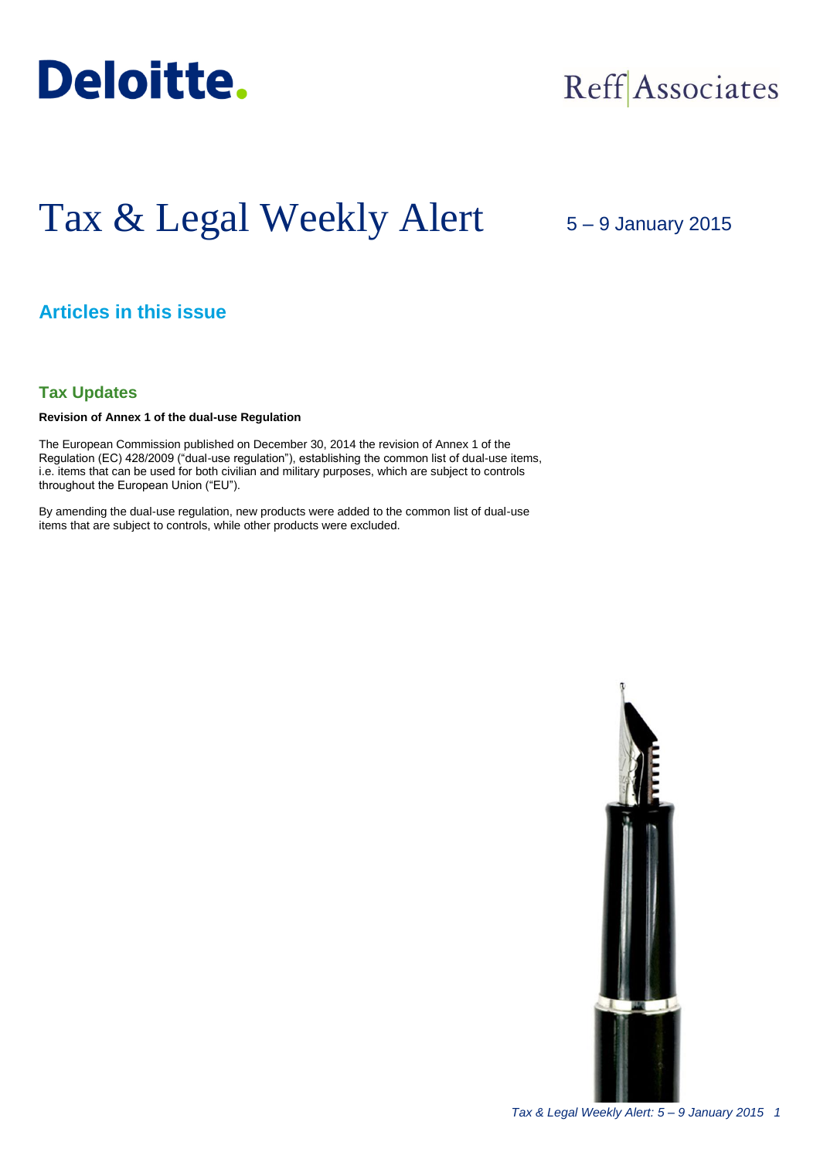

## Reff Associates

# Tax & Legal Weekly Alert

## 5 – 9 January 2015

## **Articles in this issue**

## **Tax Updates**

### **Revision of Annex 1 of the dual-use Regulation**

The European Commission published on December 30, 2014 the revision of Annex 1 of the Regulation (EC) 428/2009 ("dual-use regulation"), establishing the common list of dual-use items, i.e. items that can be used for both civilian and military purposes, which are subject to controls throughout the European Union ("EU").

By amending the dual-use regulation, new products were added to the common list of dual-use items that are subject to controls, while other products were excluded.

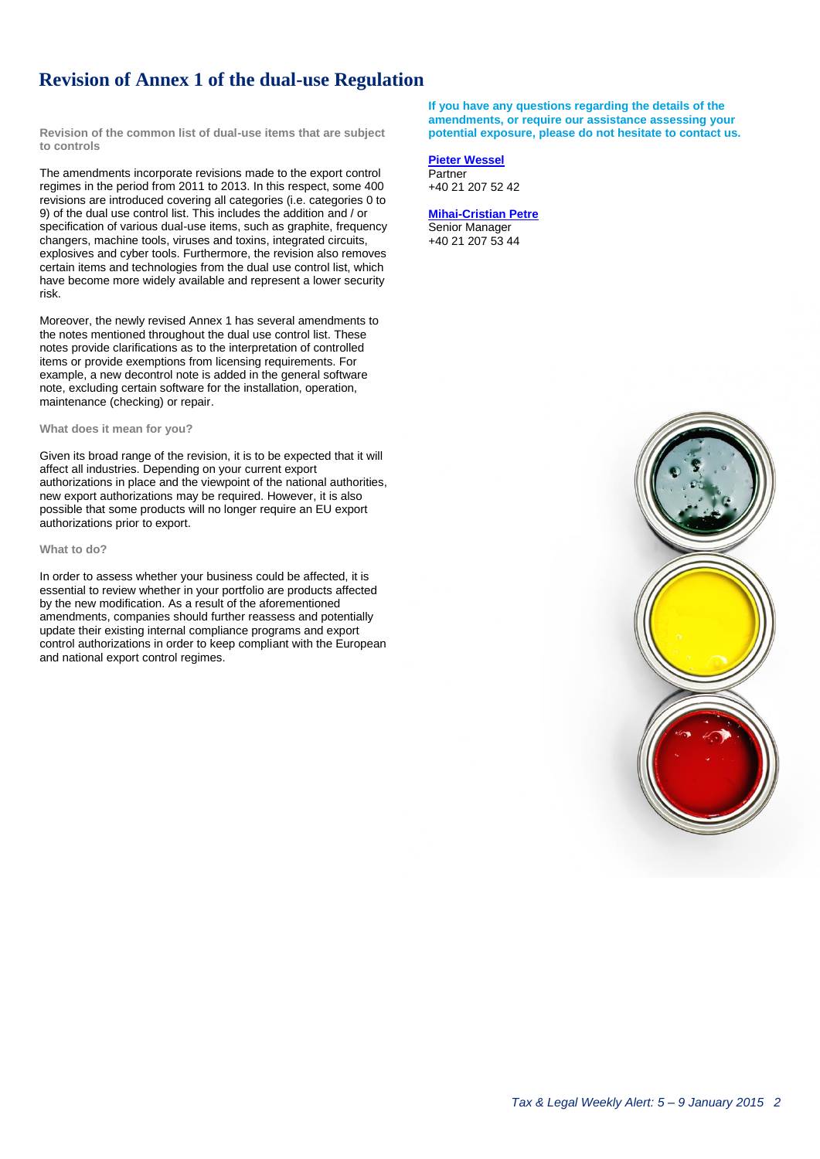## **Revision of Annex 1 of the dual-use Regulation**

**Revision of the common list of dual-use items that are subject to controls** 

The amendments incorporate revisions made to the export control regimes in the period from 2011 to 2013. In this respect, some 400 revisions are introduced covering all categories (i.e. categories 0 to 9) of the dual use control list. This includes the addition and / or specification of various dual-use items, such as graphite, frequency changers, machine tools, viruses and toxins, integrated circuits, explosives and cyber tools. Furthermore, the revision also removes certain items and technologies from the dual use control list, which have become more widely available and represent a lower security risk.

Moreover, the newly revised Annex 1 has several amendments to the notes mentioned throughout the dual use control list. These notes provide clarifications as to the interpretation of controlled items or provide exemptions from licensing requirements. For example, a new decontrol note is added in the general software note, excluding certain software for the installation, operation, maintenance (checking) or repair.

#### **What does it mean for you?**

Given its broad range of the revision, it is to be expected that it will affect all industries. Depending on your current export authorizations in place and the viewpoint of the national authorities, new export authorizations may be required. However, it is also possible that some products will no longer require an EU export authorizations prior to export.

#### **What to do?**

In order to assess whether your business could be affected, it is essential to review whether in your portfolio are products affected by the new modification. As a result of the aforementioned amendments, companies should further reassess and potentially update their existing internal compliance programs and export control authorizations in order to keep compliant with the European and national export control regimes.

**If you have any questions regarding the details of the amendments, or require our assistance assessing your potential exposure, please do not hesitate to contact us.**

#### **[Pieter Wessel](mailto:pwessel@deloittece.com)**

**Partner** +40 21 207 52 42

#### **[Mihai-Cristian Petre](mailto:mipetre@deloittece.com)** Senior Manager +40 21 207 53 44